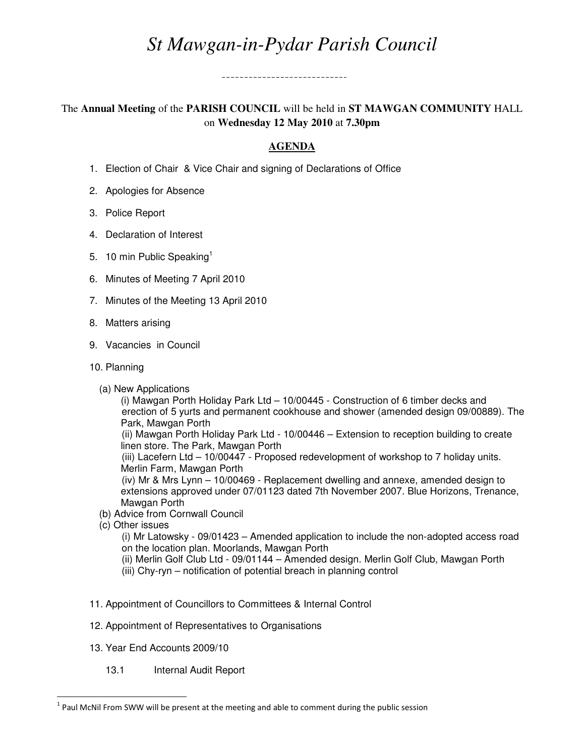## *St Mawgan-in-Pydar Parish Council*

-----------------------------

The **Annual Meeting** of the **PARISH COUNCIL** will be held in **ST MAWGAN COMMUNITY** HALL on **Wednesday 12 May 2010** at **7.30pm**

## **AGENDA**

- 1. Election of Chair & Vice Chair and signing of Declarations of Office
- 2. Apologies for Absence
- 3. Police Report
- 4. Declaration of Interest
- 5. 10 min Public Speaking<sup>1</sup>
- 6. Minutes of Meeting 7 April 2010
- 7. Minutes of the Meeting 13 April 2010
- 8. Matters arising
- 9. Vacancies in Council
- 10. Planning
	- (a) New Applications

 (i) Mawgan Porth Holiday Park Ltd – 10/00445 - Construction of 6 timber decks and erection of 5 yurts and permanent cookhouse and shower (amended design 09/00889). The Park, Mawgan Porth

 (ii) Mawgan Porth Holiday Park Ltd - 10/00446 – Extension to reception building to create linen store. The Park, Mawgan Porth

 (iii) Lacefern Ltd – 10/00447 - Proposed redevelopment of workshop to 7 holiday units. Merlin Farm, Mawgan Porth

 (iv) Mr & Mrs Lynn – 10/00469 - Replacement dwelling and annexe, amended design to extensions approved under 07/01123 dated 7th November 2007. Blue Horizons, Trenance, Mawgan Porth

- (b) Advice from Cornwall Council
- (c) Other issues

 $\overline{a}$ 

 (i) Mr Latowsky - 09/01423 – Amended application to include the non-adopted access road on the location plan. Moorlands, Mawgan Porth

- (ii) Merlin Golf Club Ltd 09/01144 Amended design. Merlin Golf Club, Mawgan Porth
- (iii) Chy-ryn notification of potential breach in planning control
- 11. Appointment of Councillors to Committees & Internal Control
- 12. Appointment of Representatives to Organisations
- 13. Year End Accounts 2009/10
	- 13.1 Internal Audit Report

 $<sup>1</sup>$  Paul McNil From SWW will be present at the meeting and able to comment during the public session</sup>